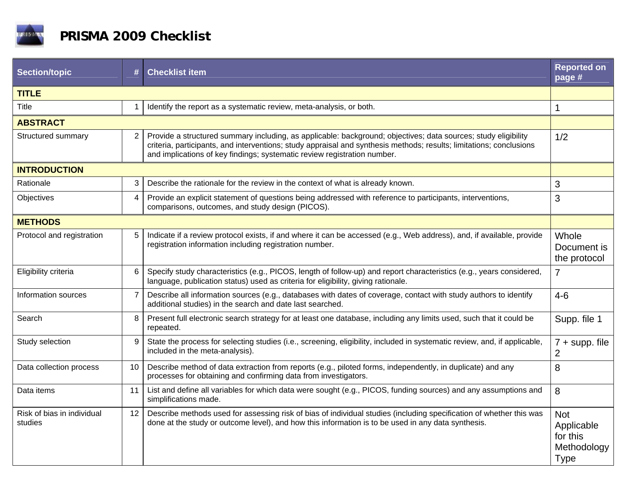

| <b>Section/topic</b>                  | #              | <b>Checklist item</b>                                                                                                                                                                                                                                                                                             | <b>Reported on</b><br>page #                                       |  |  |
|---------------------------------------|----------------|-------------------------------------------------------------------------------------------------------------------------------------------------------------------------------------------------------------------------------------------------------------------------------------------------------------------|--------------------------------------------------------------------|--|--|
| <b>TITLE</b>                          |                |                                                                                                                                                                                                                                                                                                                   |                                                                    |  |  |
| Title                                 | $\mathbf 1$    | Identify the report as a systematic review, meta-analysis, or both.                                                                                                                                                                                                                                               | $\mathbf{1}$                                                       |  |  |
| <b>ABSTRACT</b>                       |                |                                                                                                                                                                                                                                                                                                                   |                                                                    |  |  |
| Structured summary                    | 2              | Provide a structured summary including, as applicable: background; objectives; data sources; study eligibility<br>criteria, participants, and interventions; study appraisal and synthesis methods; results; limitations; conclusions<br>and implications of key findings; systematic review registration number. | 1/2                                                                |  |  |
| <b>INTRODUCTION</b>                   |                |                                                                                                                                                                                                                                                                                                                   |                                                                    |  |  |
| Rationale                             | 3              | Describe the rationale for the review in the context of what is already known.                                                                                                                                                                                                                                    | 3                                                                  |  |  |
| Objectives                            | $\overline{4}$ | Provide an explicit statement of questions being addressed with reference to participants, interventions,<br>comparisons, outcomes, and study design (PICOS).                                                                                                                                                     | 3                                                                  |  |  |
| <b>METHODS</b>                        |                |                                                                                                                                                                                                                                                                                                                   |                                                                    |  |  |
| Protocol and registration             | 5              | Indicate if a review protocol exists, if and where it can be accessed (e.g., Web address), and, if available, provide<br>registration information including registration number.                                                                                                                                  | Whole<br>Document is<br>the protocol                               |  |  |
| Eligibility criteria                  | 6              | Specify study characteristics (e.g., PICOS, length of follow-up) and report characteristics (e.g., years considered,<br>language, publication status) used as criteria for eligibility, giving rationale.                                                                                                         | $\overline{7}$                                                     |  |  |
| Information sources                   | $\overline{7}$ | Describe all information sources (e.g., databases with dates of coverage, contact with study authors to identify<br>additional studies) in the search and date last searched.                                                                                                                                     | $4 - 6$                                                            |  |  |
| Search                                | 8              | Present full electronic search strategy for at least one database, including any limits used, such that it could be<br>repeated.                                                                                                                                                                                  | Supp. file 1                                                       |  |  |
| Study selection                       | 9              | State the process for selecting studies (i.e., screening, eligibility, included in systematic review, and, if applicable,<br>included in the meta-analysis).                                                                                                                                                      | $7 + \text{supp. file}$<br>$\overline{2}$                          |  |  |
| Data collection process               | 10             | Describe method of data extraction from reports (e.g., piloted forms, independently, in duplicate) and any<br>processes for obtaining and confirming data from investigators.                                                                                                                                     | 8                                                                  |  |  |
| Data items                            | 11             | List and define all variables for which data were sought (e.g., PICOS, funding sources) and any assumptions and<br>simplifications made.                                                                                                                                                                          | 8                                                                  |  |  |
| Risk of bias in individual<br>studies | 12             | Describe methods used for assessing risk of bias of individual studies (including specification of whether this was<br>done at the study or outcome level), and how this information is to be used in any data synthesis.                                                                                         | <b>Not</b><br>Applicable<br>for this<br>Methodology<br><b>Type</b> |  |  |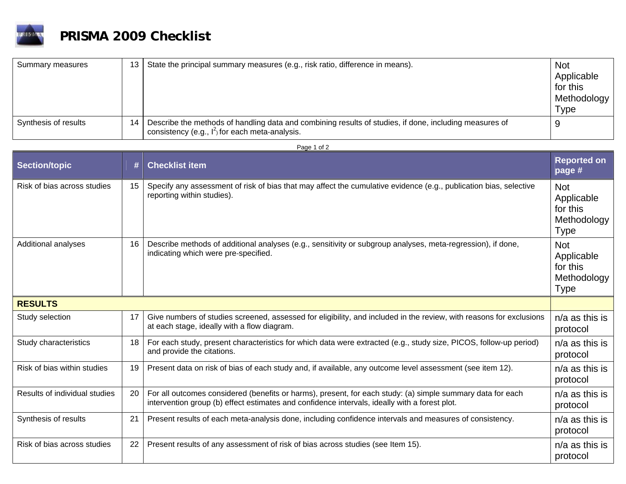

## **PRISMA 2009 Checklist**

| Summary measures     | 13 | State the principal summary measures (e.g., risk ratio, difference in means).                                                                                | <b>Not</b><br>Applicable<br>for this<br>Methodology<br><b>Type</b> |
|----------------------|----|--------------------------------------------------------------------------------------------------------------------------------------------------------------|--------------------------------------------------------------------|
| Synthesis of results | 14 | Describe the methods of handling data and combining results of studies, if done, including measures of<br>consistency (e.g., $I^2$ ) for each meta-analysis. |                                                                    |

## Page 1 of 2

| <b>Section/topic</b>          | #  | <b>Checklist item</b>                                                                                                                                                                                       | <b>Reported on</b><br>page #                                       |
|-------------------------------|----|-------------------------------------------------------------------------------------------------------------------------------------------------------------------------------------------------------------|--------------------------------------------------------------------|
| Risk of bias across studies   | 15 | Specify any assessment of risk of bias that may affect the cumulative evidence (e.g., publication bias, selective<br>reporting within studies).                                                             | <b>Not</b><br>Applicable<br>for this<br>Methodology<br><b>Type</b> |
| Additional analyses           | 16 | Describe methods of additional analyses (e.g., sensitivity or subgroup analyses, meta-regression), if done,<br>indicating which were pre-specified.                                                         | <b>Not</b><br>Applicable<br>for this<br>Methodology<br><b>Type</b> |
| <b>RESULTS</b>                |    |                                                                                                                                                                                                             |                                                                    |
| Study selection               | 17 | Give numbers of studies screened, assessed for eligibility, and included in the review, with reasons for exclusions<br>at each stage, ideally with a flow diagram.                                          | $n/a$ as this is<br>protocol                                       |
| Study characteristics         | 18 | For each study, present characteristics for which data were extracted (e.g., study size, PICOS, follow-up period)<br>and provide the citations.                                                             | $n/a$ as this is<br>protocol                                       |
| Risk of bias within studies   | 19 | Present data on risk of bias of each study and, if available, any outcome level assessment (see item 12).                                                                                                   | n/a as this is<br>protocol                                         |
| Results of individual studies | 20 | For all outcomes considered (benefits or harms), present, for each study: (a) simple summary data for each<br>intervention group (b) effect estimates and confidence intervals, ideally with a forest plot. | $n/a$ as this is<br>protocol                                       |
| Synthesis of results          | 21 | Present results of each meta-analysis done, including confidence intervals and measures of consistency.                                                                                                     | $n/a$ as this is<br>protocol                                       |
| Risk of bias across studies   | 22 | Present results of any assessment of risk of bias across studies (see Item 15).                                                                                                                             | $n/a$ as this is<br>protocol                                       |